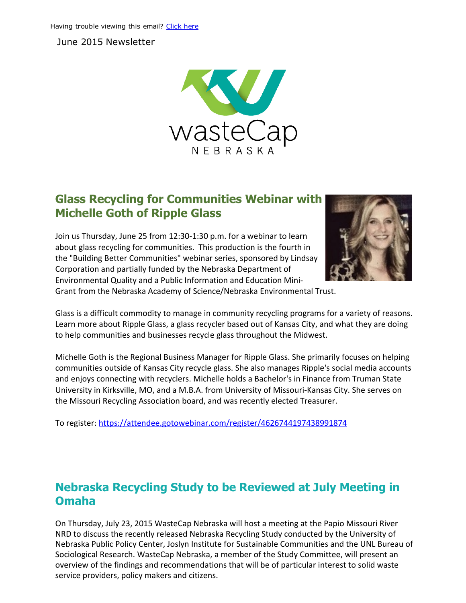June 2015 Newsletter



# Glass Recycling for Communities Webinar with Michelle Goth of Ripple Glass

Join us Thursday, June 25 from 12:30‐1:30 p.m. for a webinar to learn about glass recycling for communities. This production is the fourth in the "Building Better Communities" webinar series, sponsored by Lindsay Corporation and partially funded by the Nebraska Department of Environmental Quality and a Public Information and Education Mini‐



Grant from the Nebraska Academy of Science/Nebraska Environmental Trust.

Glass is a difficult commodity to manage in community recycling programs for a variety of reasons. Learn more about Ripple Glass, a glass recycler based out of Kansas City, and what they are doing to help communities and businesses recycle glass throughout the Midwest.

Michelle Goth is the Regional Business Manager for Ripple Glass. She primarily focuses on helping communities outside of Kansas City recycle glass. She also manages Ripple's social media accounts and enjoys connecting with recyclers. Michelle holds a Bachelor's in Finance from Truman State University in Kirksville, MO, and a M.B.A. from University of Missouri‐Kansas City. She serves on the Missouri Recycling Association board, and was recently elected Treasurer.

To register: https://attendee.gotowebinar.com/register/4626744197438991874

## Nebraska Recycling Study to be Reviewed at July Meeting in Omaha

On Thursday, July 23, 2015 WasteCap Nebraska will host a meeting at the Papio Missouri River NRD to discuss the recently released Nebraska Recycling Study conducted by the University of Nebraska Public Policy Center, Joslyn Institute for Sustainable Communities and the UNL Bureau of Sociological Research. WasteCap Nebraska, a member of the Study Committee, will present an overview of the findings and recommendations that will be of particular interest to solid waste service providers, policy makers and citizens.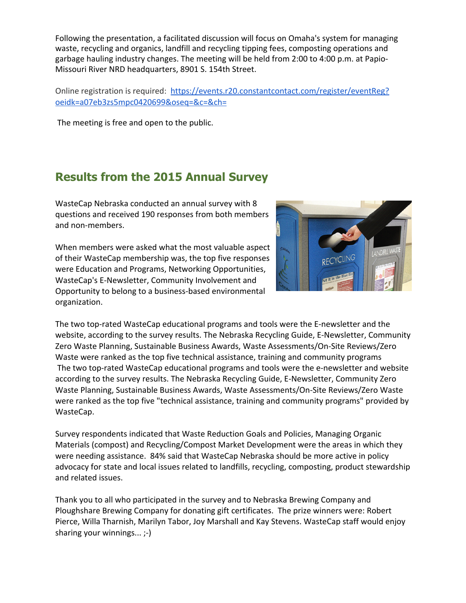Following the presentation, a facilitated discussion will focus on Omaha's system for managing waste, recycling and organics, landfill and recycling tipping fees, composting operations and garbage hauling industry changes. The meeting will be held from 2:00 to 4:00 p.m. at Papio‐ Missouri River NRD headquarters, 8901 S. 154th Street.

Online registration is required: https://events.r20.constantcontact.com/register/eventReg? oeidk=a07eb3zs5mpc0420699&oseq=&c=&ch=

The [meeting](https://events.r20.constantcontact.com/register/eventReg?oeidk=a07eb3zs5mpc0420699&oseq=&c=&ch=) is free and open to the public.

# Results from the 2015 Annual Survey

WasteCap Nebraska conducted an annual survey with 8 questions and received 190 responses from both members and non‐members.

When members were asked what the most valuable aspect of their WasteCap membership was, the top five responses were Education and Programs, Networking Opportunities, WasteCap's E‐Newsletter, Community Involvement and Opportunity to belong to a business‐based environmental organization.



The two top‐rated WasteCap educational programs and tools were the E‐newsletter and the website, according to the survey results. The Nebraska Recycling Guide, E‐Newsletter, Community Zero Waste Planning, Sustainable Business Awards, Waste Assessments/On‐Site Reviews/Zero Waste were ranked as the top five technical assistance, training and community programs The two top-rated WasteCap educational programs and tools were the e-newsletter and website according to the survey results. The Nebraska Recycling Guide, E‐Newsletter, Community Zero Waste Planning, Sustainable Business Awards, Waste Assessments/On‐Site Reviews/Zero Waste were ranked as the top five "technical assistance, training and community programs" provided by WasteCap.

Survey respondents indicated that Waste Reduction Goals and Policies, Managing Organic Materials (compost) and Recycling/Compost Market Development were the areas in which they were needing assistance. 84% said that WasteCap Nebraska should be more active in policy advocacy for state and local issues related to landfills, recycling, composting, product stewardship and related issues.

Thank you to all who participated in the survey and to Nebraska Brewing Company and Ploughshare Brewing Company for donating gift certificates. The prize winners were: Robert Pierce, Willa Tharnish, Marilyn Tabor, Joy Marshall and Kay Stevens. WasteCap staff would enjoy sharing your winnings... ;‐)